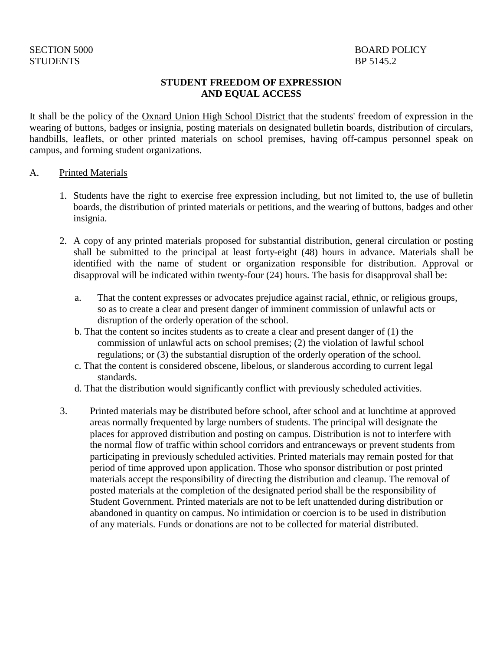# STUDENTS BP 5145.2

### **STUDENT FREEDOM OF EXPRESSION AND EQUAL ACCESS**

It shall be the policy of the Oxnard Union High School District that the students' freedom of expression in the wearing of buttons, badges or insignia, posting materials on designated bulletin boards, distribution of circulars, handbills, leaflets, or other printed materials on school premises, having off-campus personnel speak on campus, and forming student organizations.

#### A. Printed Materials

- 1. Students have the right to exercise free expression including, but not limited to, the use of bulletin boards, the distribution of printed materials or petitions, and the wearing of buttons, badges and other insignia.
- 2. A copy of any printed materials proposed for substantial distribution, general circulation or posting shall be submitted to the principal at least forty-eight (48) hours in advance. Materials shall be identified with the name of student or organization responsible for distribution. Approval or disapproval will be indicated within twenty-four (24) hours. The basis for disapproval shall be:
	- a. That the content expresses or advocates prejudice against racial, ethnic, or religious groups, so as to create a clear and present danger of imminent commission of unlawful acts or disruption of the orderly operation of the school.
	- b. That the content so incites students as to create a clear and present danger of (1) the commission of unlawful acts on school premises; (2) the violation of lawful school regulations; or (3) the substantial disruption of the orderly operation of the school.
	- c. That the content is considered obscene, libelous, or slanderous according to current legal standards.
	- d. That the distribution would significantly conflict with previously scheduled activities.
- 3. Printed materials may be distributed before school, after school and at lunchtime at approved areas normally frequented by large numbers of students. The principal will designate the places for approved distribution and posting on campus. Distribution is not to interfere with the normal flow of traffic within school corridors and entranceways or prevent students from participating in previously scheduled activities. Printed materials may remain posted for that period of time approved upon application. Those who sponsor distribution or post printed materials accept the responsibility of directing the distribution and cleanup. The removal of posted materials at the completion of the designated period shall be the responsibility of Student Government. Printed materials are not to be left unattended during distribution or abandoned in quantity on campus. No intimidation or coercion is to be used in distribution of any materials. Funds or donations are not to be collected for material distributed.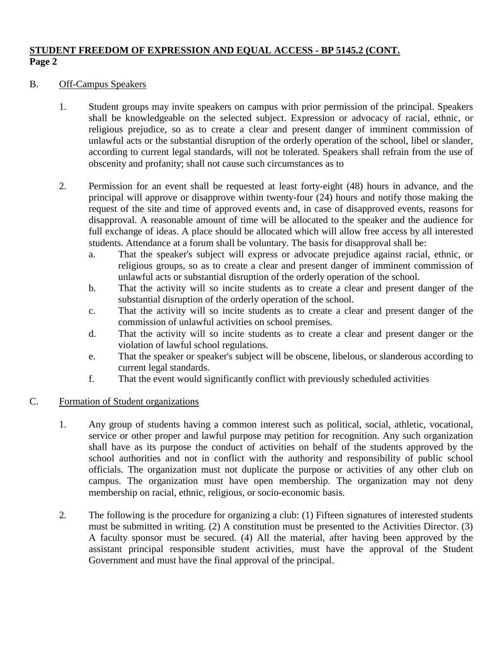## **STUDENT FREEDOM OF EXPRESSION AND EQUAL ACCESS - BP 5145.2 (CONT. Page 2**

### B. Off-Campus Speakers

- 1. Student groups may invite speakers on campus with prior permission of the principal. Speakers shall be knowledgeable on the selected subject. Expression or advocacy of racial, ethnic, or religious prejudice, so as to create a clear and present danger of imminent commission of unlawful acts or the substantial disruption of the orderly operation of the school, libel or slander, according to current legal standards, will not be tolerated. Speakers shall refrain from the use of obscenity and profanity; shall not cause such circumstances as to
- 2. Permission for an event shall be requested at least forty-eight (48) hours in advance, and the principal will approve or disapprove within twenty-four (24) hours and notify those making the request of the site and time of approved events and, in case of disapproved events, reasons for disapproval. A reasonable amount of time will be allocated to the speaker and the audience for full exchange of ideas. A place should be allocated which will allow free access by all interested students. Attendance at a forum shall be voluntary. The basis for disapproval shall be:
	- a. That the speaker's subject will express or advocate prejudice against racial, ethnic, or religious groups, so as to create a clear and present danger of imminent commission of unlawful acts or substantial disruption of the orderly operation of the school.
	- b. That the activity will so incite students as to create a clear and present danger of the substantial disruption of the orderly operation of the school.
	- c. That the activity will so incite students as to create a clear and present danger of the commission of unlawful activities on school premises.
	- d. That the activity will so incite students as to create a clear and present danger or the violation of lawful school regulations.
	- e. That the speaker or speaker's subject will be obscene, libelous, or slanderous according to current legal standards.
	- f. That the event would significantly conflict with previously scheduled activities

## C. Formation of Student organizations

- 1. Any group of students having a common interest such as political, social, athletic, vocational, service or other proper and lawful purpose may petition for recognition. Any such organization shall have as its purpose the conduct of activities on behalf of the students approved by the school authorities and not in conflict with the authority and responsibility of public school officials. The organization must not duplicate the purpose or activities of any other club on campus. The organization must have open membership. The organization may not deny membership on racial, ethnic, religious, or socio-economic basis.
- 2. The following is the procedure for organizing a club: (1) Fifteen signatures of interested students must be submitted in writing. (2) A constitution must be presented to the Activities Director. (3) A faculty sponsor must be secured. (4) All the material, after having been approved by the assistant principal responsible student activities, must have the approval of the Student Government and must have the final approval of the principal.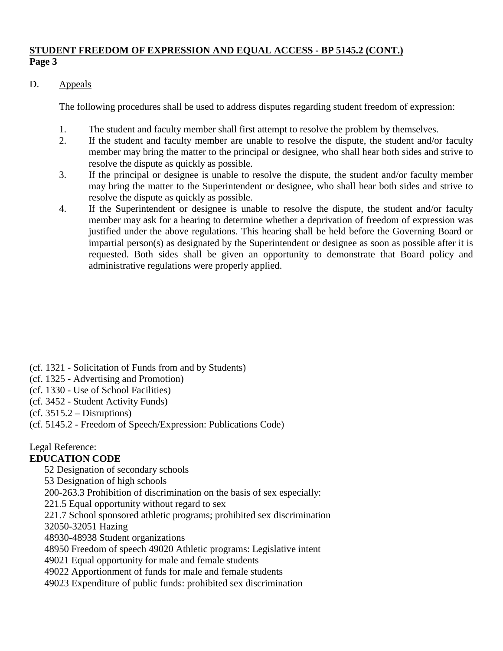## **STUDENT FREEDOM OF EXPRESSION AND EQUAL ACCESS - BP 5145.2 (CONT.) Page 3**

## D. Appeals

The following procedures shall be used to address disputes regarding student freedom of expression:

- 1. The student and faculty member shall first attempt to resolve the problem by themselves.
- 2. If the student and faculty member are unable to resolve the dispute, the student and/or faculty member may bring the matter to the principal or designee, who shall hear both sides and strive to resolve the dispute as quickly as possible.
- 3. If the principal or designee is unable to resolve the dispute, the student and/or faculty member may bring the matter to the Superintendent or designee, who shall hear both sides and strive to resolve the dispute as quickly as possible.
- 4. If the Superintendent or designee is unable to resolve the dispute, the student and/or faculty member may ask for a hearing to determine whether a deprivation of freedom of expression was justified under the above regulations. This hearing shall be held before the Governing Board or impartial person(s) as designated by the Superintendent or designee as soon as possible after it is requested. Both sides shall be given an opportunity to demonstrate that Board policy and administrative regulations were properly applied.

- (cf. 1321 Solicitation of Funds from and by Students)
- (cf. 1325 Advertising and Promotion)
- (cf. 1330 Use of School Facilities)
- (cf. 3452 Student Activity Funds)
- $(cf. 3515.2 Disruptions)$
- (cf. 5145.2 Freedom of Speech/Expression: Publications Code)

Legal Reference:

## **EDUCATION CODE**

52 Designation of secondary schools

53 Designation of high schools

200-263.3 Prohibition of discrimination on the basis of sex especially:

221.5 Equal opportunity without regard to sex

221.7 School sponsored athletic programs; prohibited sex discrimination

32050-32051 Hazing

48930-48938 Student organizations

48950 Freedom of speech 49020 Athletic programs: Legislative intent

49021 Equal opportunity for male and female students

49022 Apportionment of funds for male and female students

49023 Expenditure of public funds: prohibited sex discrimination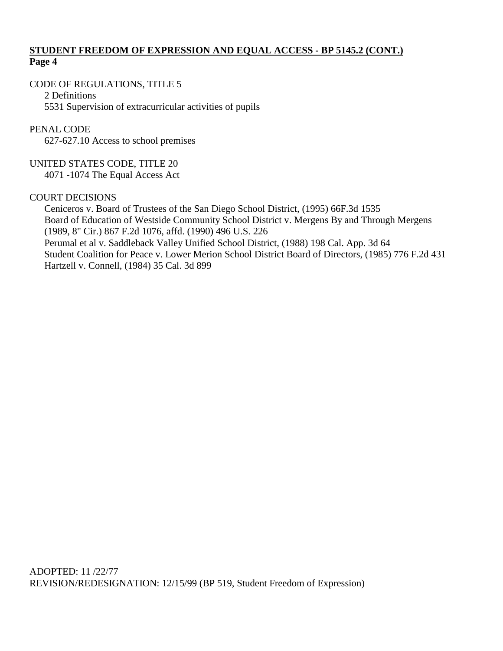## **STUDENT FREEDOM OF EXPRESSION AND EQUAL ACCESS - BP 5145.2 (CONT.) Page 4**

## CODE OF REGULATIONS, TITLE 5

2 Definitions 5531 Supervision of extracurricular activities of pupils

## PENAL CODE

627-627.10 Access to school premises

## UNITED STATES CODE, TITLE 20

4071 -1074 The Equal Access Act

### COURT DECISIONS

Ceniceros v. Board of Trustees of the San Diego School District, (1995) 66F.3d 1535 Board of Education of Westside Community School District v. Mergens By and Through Mergens (1989, 8" Cir.) 867 F.2d 1076, affd. (1990) 496 U.S. 226 Perumal et al v. Saddleback Valley Unified School District, (1988) 198 Cal. App. 3d 64 Student Coalition for Peace v. Lower Merion School District Board of Directors, (1985) 776 F.2d 431 Hartzell v. Connell, (1984) 35 Cal. 3d 899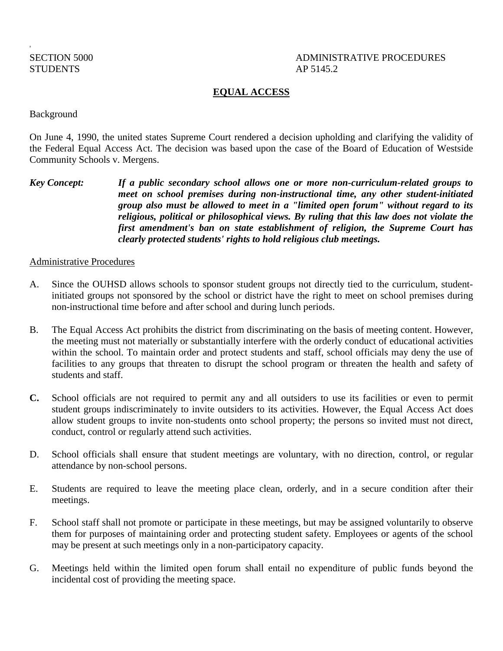## STUDENTS AP 5145.2

a

## SECTION 5000 ADMINISTRATIVE PROCEDURES

## **EQUAL ACCESS**

Background

On June 4, 1990, the united states Supreme Court rendered a decision upholding and clarifying the validity of the Federal Equal Access Act. The decision was based upon the case of the Board of Education of Westside Community Schools v. Mergens.

*Key Concept: If a public secondary school allows one or more non-curriculum-related groups to meet on school premises during non-instructional time, any other student-initiated group also must be allowed to meet in a "limited open forum" without regard to its religious, political or philosophical views. By ruling that this law does not violate the first amendment's ban on state establishment of religion, the Supreme Court has clearly protected students' rights to hold religious club meetings.*

#### Administrative Procedures

- A. Since the OUHSD allows schools to sponsor student groups not directly tied to the curriculum, studentinitiated groups not sponsored by the school or district have the right to meet on school premises during non-instructional time before and after school and during lunch periods.
- B. The Equal Access Act prohibits the district from discriminating on the basis of meeting content. However, the meeting must not materially or substantially interfere with the orderly conduct of educational activities within the school. To maintain order and protect students and staff, school officials may deny the use of facilities to any groups that threaten to disrupt the school program or threaten the health and safety of students and staff.
- **C.** School officials are not required to permit any and all outsiders to use its facilities or even to permit student groups indiscriminately to invite outsiders to its activities. However, the Equal Access Act does allow student groups to invite non-students onto school property; the persons so invited must not direct, conduct, control or regularly attend such activities.
- D. School officials shall ensure that student meetings are voluntary, with no direction, control, or regular attendance by non-school persons.
- E. Students are required to leave the meeting place clean, orderly, and in a secure condition after their meetings.
- F. School staff shall not promote or participate in these meetings, but may be assigned voluntarily to observe them for purposes of maintaining order and protecting student safety. Employees or agents of the school may be present at such meetings only in a non-participatory capacity.
- G. Meetings held within the limited open forum shall entail no expenditure of public funds beyond the incidental cost of providing the meeting space.